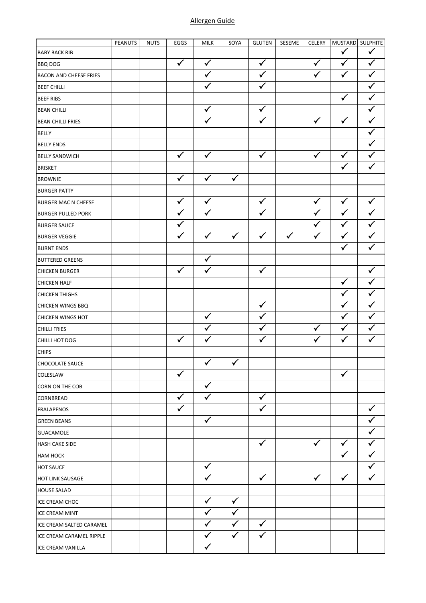## Allergen Guide

|                               | PEANUTS | <b>NUTS</b> | EGGS         | <b>MILK</b>  | SOYA         | <b>GLUTEN</b> | SESEME       | CELERY       |              | MUSTARD SULPHITE |
|-------------------------------|---------|-------------|--------------|--------------|--------------|---------------|--------------|--------------|--------------|------------------|
| <b>BABY BACK RIB</b>          |         |             |              |              |              |               |              |              | ✓            |                  |
| <b>BBQ DOG</b>                |         |             | $\checkmark$ | $\checkmark$ |              | $\checkmark$  |              | $\checkmark$ | $\checkmark$ | ✓                |
| <b>BACON AND CHEESE FRIES</b> |         |             |              | $\checkmark$ |              | $\checkmark$  |              | $\checkmark$ | $\checkmark$ | ✓                |
| <b>BEEF CHILLI</b>            |         |             |              |              |              | $\checkmark$  |              |              |              |                  |
| <b>BEEF RIBS</b>              |         |             |              |              |              |               |              |              | $\checkmark$ | $\checkmark$     |
| <b>BEAN CHILLI</b>            |         |             |              | $\checkmark$ |              | $\checkmark$  |              |              |              | ✓                |
| <b>BEAN CHILLI FRIES</b>      |         |             |              |              |              | $\checkmark$  |              | $\checkmark$ | $\checkmark$ |                  |
| <b>BELLY</b>                  |         |             |              |              |              |               |              |              |              |                  |
| <b>BELLY ENDS</b>             |         |             |              |              |              |               |              |              |              | ✓                |
| <b>BELLY SANDWICH</b>         |         |             | $\checkmark$ | $\checkmark$ |              | $\checkmark$  |              | $\checkmark$ | $\checkmark$ |                  |
| <b>BRISKET</b>                |         |             |              |              |              |               |              |              | $\checkmark$ | $\checkmark$     |
| <b>BROWNIE</b>                |         |             | $\checkmark$ | $\checkmark$ | $\checkmark$ |               |              |              |              |                  |
| <b>BURGER PATTY</b>           |         |             |              |              |              |               |              |              |              |                  |
| <b>BURGER MAC N CHEESE</b>    |         |             | $\checkmark$ | $\checkmark$ |              | $\checkmark$  |              | $\checkmark$ | $\checkmark$ | $\checkmark$     |
| <b>BURGER PULLED PORK</b>     |         |             | $\checkmark$ | $\checkmark$ |              | $\checkmark$  |              | $\checkmark$ | $\checkmark$ | ✓                |
| <b>BURGER SAUCE</b>           |         |             | $\checkmark$ |              |              |               |              | $\checkmark$ | $\checkmark$ |                  |
| <b>BURGER VEGGIE</b>          |         |             | $\checkmark$ | $\checkmark$ | $\checkmark$ | $\checkmark$  | $\checkmark$ | $\checkmark$ | $\checkmark$ | $\checkmark$     |
| <b>BURNT ENDS</b>             |         |             |              |              |              |               |              |              | $\checkmark$ | $\checkmark$     |
| <b>BUTTERED GREENS</b>        |         |             |              | $\checkmark$ |              |               |              |              |              |                  |
| <b>CHICKEN BURGER</b>         |         |             | $\checkmark$ | $\checkmark$ |              | $\checkmark$  |              |              |              | $\checkmark$     |
| <b>CHICKEN HALF</b>           |         |             |              |              |              |               |              |              | $\checkmark$ | ✓                |
| <b>CHICKEN THIGHS</b>         |         |             |              |              |              |               |              |              | ✓            | ✓                |
| <b>CHICKEN WINGS BBQ</b>      |         |             |              |              |              | $\checkmark$  |              |              | $\checkmark$ | $\checkmark$     |
| <b>CHICKEN WINGS HOT</b>      |         |             |              | $\checkmark$ |              | $\checkmark$  |              |              | $\checkmark$ | $\checkmark$     |
| <b>CHILLI FRIES</b>           |         |             |              | ✓            |              | ✓             |              | $\checkmark$ | $\checkmark$ | $\checkmark$     |
| CHILLI HOT DOG                |         |             | $\checkmark$ | $\checkmark$ |              | $\checkmark$  |              | $\checkmark$ | $\checkmark$ | $\checkmark$     |
| <b>CHIPS</b>                  |         |             |              |              |              |               |              |              |              |                  |
| <b>CHOCOLATE SAUCE</b>        |         |             |              | $\checkmark$ | $\checkmark$ |               |              |              |              |                  |
| COLESLAW                      |         |             | $\checkmark$ |              |              |               |              |              | $\checkmark$ |                  |
| CORN ON THE COB               |         |             |              | $\checkmark$ |              |               |              |              |              |                  |
| CORNBREAD                     |         |             | $\checkmark$ | $\checkmark$ |              | $\checkmark$  |              |              |              |                  |
| FRALAPENOS                    |         |             | $\checkmark$ |              |              | $\checkmark$  |              |              |              |                  |
| <b>GREEN BEANS</b>            |         |             |              | $\checkmark$ |              |               |              |              |              |                  |
| <b>GUACAMOLE</b>              |         |             |              |              |              |               |              |              |              |                  |
| <b>HASH CAKE SIDE</b>         |         |             |              |              |              | $\checkmark$  |              | $\checkmark$ | $\checkmark$ |                  |
| НАМ НОСК                      |         |             |              |              |              |               |              |              | $\checkmark$ |                  |
| <b>HOT SAUCE</b>              |         |             |              | $\checkmark$ |              |               |              |              |              |                  |
| <b>HOT LINK SAUSAGE</b>       |         |             |              | ✓            |              | ✓             |              | $\checkmark$ | $\checkmark$ |                  |
| <b>HOUSE SALAD</b>            |         |             |              |              |              |               |              |              |              |                  |
| <b>ICE CREAM CHOC</b>         |         |             |              | $\checkmark$ | $\checkmark$ |               |              |              |              |                  |
| ICE CREAM MINT                |         |             |              | ✓            | ✓            |               |              |              |              |                  |
| ICE CREAM SALTED CARAMEL      |         |             |              | $\checkmark$ | $\checkmark$ | $\checkmark$  |              |              |              |                  |
| ICE CREAM CARAMEL RIPPLE      |         |             |              | $\checkmark$ | $\checkmark$ | $\checkmark$  |              |              |              |                  |
| ICE CREAM VANILLA             |         |             |              | $\checkmark$ |              |               |              |              |              |                  |